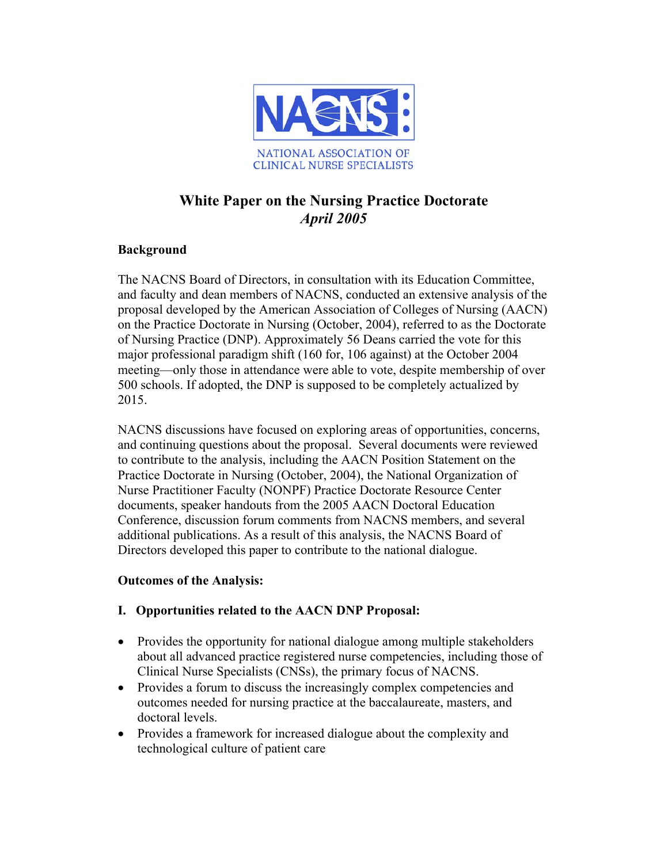

# **White Paper on the Nursing Practice Doctorate**  *April 2005*

#### **Background**

The NACNS Board of Directors, in consultation with its Education Committee, and faculty and dean members of NACNS, conducted an extensive analysis of the proposal developed by the American Association of Colleges of Nursing (AACN) on the Practice Doctorate in Nursing (October, 2004), referred to as the Doctorate of Nursing Practice (DNP). Approximately 56 Deans carried the vote for this major professional paradigm shift (160 for, 106 against) at the October 2004 meeting—only those in attendance were able to vote, despite membership of over 500 schools. If adopted, the DNP is supposed to be completely actualized by 2015.

NACNS discussions have focused on exploring areas of opportunities, concerns, and continuing questions about the proposal. Several documents were reviewed to contribute to the analysis, including the AACN Position Statement on the Practice Doctorate in Nursing (October, 2004), the National Organization of Nurse Practitioner Faculty (NONPF) Practice Doctorate Resource Center documents, speaker handouts from the 2005 AACN Doctoral Education Conference, discussion forum comments from NACNS members, and several additional publications. As a result of this analysis, the NACNS Board of Directors developed this paper to contribute to the national dialogue.

#### **Outcomes of the Analysis:**

### **I. Opportunities related to the AACN DNP Proposal:**

- Provides the opportunity for national dialogue among multiple stakeholders about all advanced practice registered nurse competencies, including those of Clinical Nurse Specialists (CNSs), the primary focus of NACNS.
- Provides a forum to discuss the increasingly complex competencies and outcomes needed for nursing practice at the baccalaureate, masters, and doctoral levels.
- Provides a framework for increased dialogue about the complexity and technological culture of patient care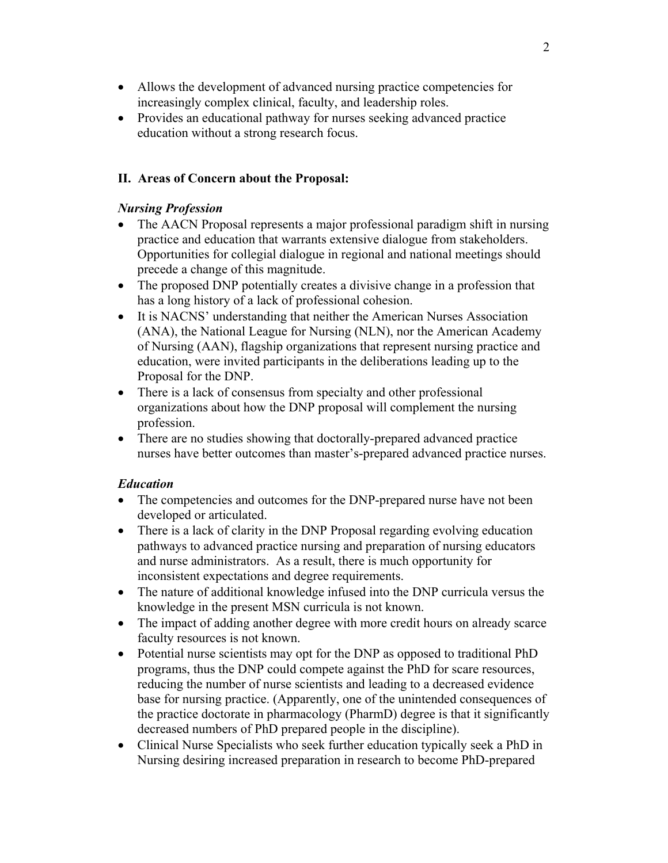- Allows the development of advanced nursing practice competencies for increasingly complex clinical, faculty, and leadership roles.
- Provides an educational pathway for nurses seeking advanced practice education without a strong research focus.

### **II. Areas of Concern about the Proposal:**

### *Nursing Profession*

- The AACN Proposal represents a major professional paradigm shift in nursing practice and education that warrants extensive dialogue from stakeholders. Opportunities for collegial dialogue in regional and national meetings should precede a change of this magnitude.
- The proposed DNP potentially creates a divisive change in a profession that has a long history of a lack of professional cohesion.
- It is NACNS' understanding that neither the American Nurses Association (ANA), the National League for Nursing (NLN), nor the American Academy of Nursing (AAN), flagship organizations that represent nursing practice and education, were invited participants in the deliberations leading up to the Proposal for the DNP.
- There is a lack of consensus from specialty and other professional organizations about how the DNP proposal will complement the nursing profession.
- There are no studies showing that doctorally-prepared advanced practice nurses have better outcomes than master's-prepared advanced practice nurses.

### *Education*

- The competencies and outcomes for the DNP-prepared nurse have not been developed or articulated.
- There is a lack of clarity in the DNP Proposal regarding evolving education pathways to advanced practice nursing and preparation of nursing educators and nurse administrators. As a result, there is much opportunity for inconsistent expectations and degree requirements.
- The nature of additional knowledge infused into the DNP curricula versus the knowledge in the present MSN curricula is not known.
- The impact of adding another degree with more credit hours on already scarce faculty resources is not known.
- Potential nurse scientists may opt for the DNP as opposed to traditional PhD programs, thus the DNP could compete against the PhD for scare resources, reducing the number of nurse scientists and leading to a decreased evidence base for nursing practice. (Apparently, one of the unintended consequences of the practice doctorate in pharmacology (PharmD) degree is that it significantly decreased numbers of PhD prepared people in the discipline).
- Clinical Nurse Specialists who seek further education typically seek a PhD in Nursing desiring increased preparation in research to become PhD-prepared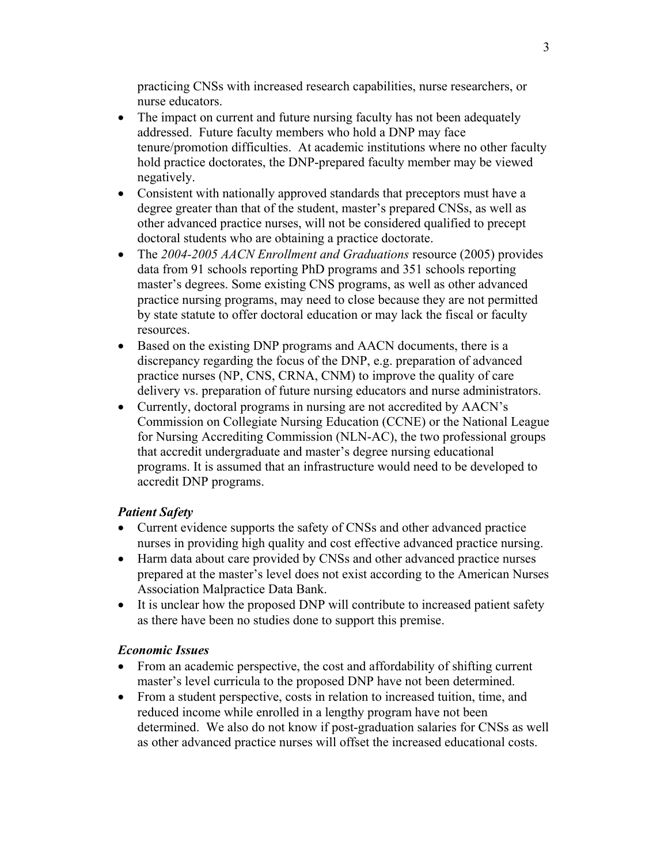practicing CNSs with increased research capabilities, nurse researchers, or nurse educators.

- The impact on current and future nursing faculty has not been adequately addressed. Future faculty members who hold a DNP may face tenure/promotion difficulties. At academic institutions where no other faculty hold practice doctorates, the DNP-prepared faculty member may be viewed negatively.
- Consistent with nationally approved standards that preceptors must have a degree greater than that of the student, master's prepared CNSs, as well as other advanced practice nurses, will not be considered qualified to precept doctoral students who are obtaining a practice doctorate.
- The *2004-2005 AACN Enrollment and Graduations* resource (2005) provides data from 91 schools reporting PhD programs and 351 schools reporting master's degrees. Some existing CNS programs, as well as other advanced practice nursing programs, may need to close because they are not permitted by state statute to offer doctoral education or may lack the fiscal or faculty resources.
- Based on the existing DNP programs and AACN documents, there is a discrepancy regarding the focus of the DNP, e.g. preparation of advanced practice nurses (NP, CNS, CRNA, CNM) to improve the quality of care delivery vs. preparation of future nursing educators and nurse administrators.
- Currently, doctoral programs in nursing are not accredited by AACN's Commission on Collegiate Nursing Education (CCNE) or the National League for Nursing Accrediting Commission (NLN-AC), the two professional groups that accredit undergraduate and master's degree nursing educational programs. It is assumed that an infrastructure would need to be developed to accredit DNP programs.

## *Patient Safety*

- Current evidence supports the safety of CNSs and other advanced practice nurses in providing high quality and cost effective advanced practice nursing.
- Harm data about care provided by CNSs and other advanced practice nurses prepared at the master's level does not exist according to the American Nurses Association Malpractice Data Bank.
- It is unclear how the proposed DNP will contribute to increased patient safety as there have been no studies done to support this premise.

### *Economic Issues*

- From an academic perspective, the cost and affordability of shifting current master's level curricula to the proposed DNP have not been determined.
- From a student perspective, costs in relation to increased tuition, time, and reduced income while enrolled in a lengthy program have not been determined. We also do not know if post-graduation salaries for CNSs as well as other advanced practice nurses will offset the increased educational costs.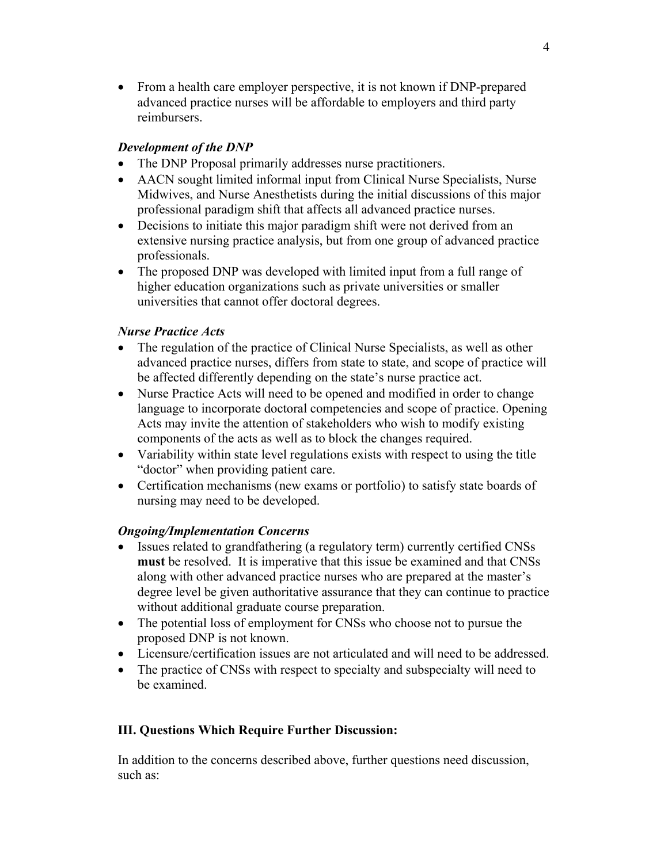• From a health care employer perspective, it is not known if DNP-prepared advanced practice nurses will be affordable to employers and third party reimbursers.

### *Development of the DNP*

- The DNP Proposal primarily addresses nurse practitioners.
- AACN sought limited informal input from Clinical Nurse Specialists, Nurse Midwives, and Nurse Anesthetists during the initial discussions of this major professional paradigm shift that affects all advanced practice nurses.
- Decisions to initiate this major paradigm shift were not derived from an extensive nursing practice analysis, but from one group of advanced practice professionals.
- The proposed DNP was developed with limited input from a full range of higher education organizations such as private universities or smaller universities that cannot offer doctoral degrees.

#### *Nurse Practice Acts*

- The regulation of the practice of Clinical Nurse Specialists, as well as other advanced practice nurses, differs from state to state, and scope of practice will be affected differently depending on the state's nurse practice act.
- Nurse Practice Acts will need to be opened and modified in order to change language to incorporate doctoral competencies and scope of practice. Opening Acts may invite the attention of stakeholders who wish to modify existing components of the acts as well as to block the changes required.
- Variability within state level regulations exists with respect to using the title "doctor" when providing patient care.
- Certification mechanisms (new exams or portfolio) to satisfy state boards of nursing may need to be developed.

#### *Ongoing/Implementation Concerns*

- Issues related to grandfathering (a regulatory term) currently certified CNSs **must** be resolved. It is imperative that this issue be examined and that CNSs along with other advanced practice nurses who are prepared at the master's degree level be given authoritative assurance that they can continue to practice without additional graduate course preparation.
- The potential loss of employment for CNSs who choose not to pursue the proposed DNP is not known.
- Licensure/certification issues are not articulated and will need to be addressed.
- The practice of CNSs with respect to specialty and subspecialty will need to be examined.

#### **III. Questions Which Require Further Discussion:**

In addition to the concerns described above, further questions need discussion, such as: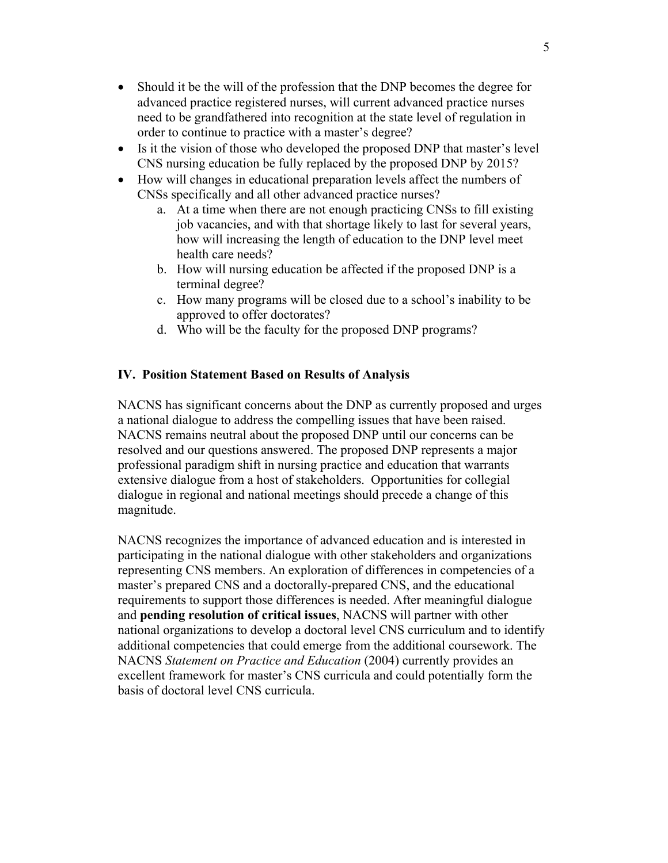- Should it be the will of the profession that the DNP becomes the degree for advanced practice registered nurses, will current advanced practice nurses need to be grandfathered into recognition at the state level of regulation in order to continue to practice with a master's degree?
- Is it the vision of those who developed the proposed DNP that master's level CNS nursing education be fully replaced by the proposed DNP by 2015?
- How will changes in educational preparation levels affect the numbers of CNSs specifically and all other advanced practice nurses?
	- a. At a time when there are not enough practicing CNSs to fill existing job vacancies, and with that shortage likely to last for several years, how will increasing the length of education to the DNP level meet health care needs?
	- b. How will nursing education be affected if the proposed DNP is a terminal degree?
	- c. How many programs will be closed due to a school's inability to be approved to offer doctorates?
	- d. Who will be the faculty for the proposed DNP programs?

#### **IV. Position Statement Based on Results of Analysis**

NACNS has significant concerns about the DNP as currently proposed and urges a national dialogue to address the compelling issues that have been raised. NACNS remains neutral about the proposed DNP until our concerns can be resolved and our questions answered. The proposed DNP represents a major professional paradigm shift in nursing practice and education that warrants extensive dialogue from a host of stakeholders. Opportunities for collegial dialogue in regional and national meetings should precede a change of this magnitude.

NACNS recognizes the importance of advanced education and is interested in participating in the national dialogue with other stakeholders and organizations representing CNS members. An exploration of differences in competencies of a master's prepared CNS and a doctorally-prepared CNS, and the educational requirements to support those differences is needed. After meaningful dialogue and **pending resolution of critical issues**, NACNS will partner with other national organizations to develop a doctoral level CNS curriculum and to identify additional competencies that could emerge from the additional coursework. The NACNS *Statement on Practice and Education* (2004) currently provides an excellent framework for master's CNS curricula and could potentially form the basis of doctoral level CNS curricula.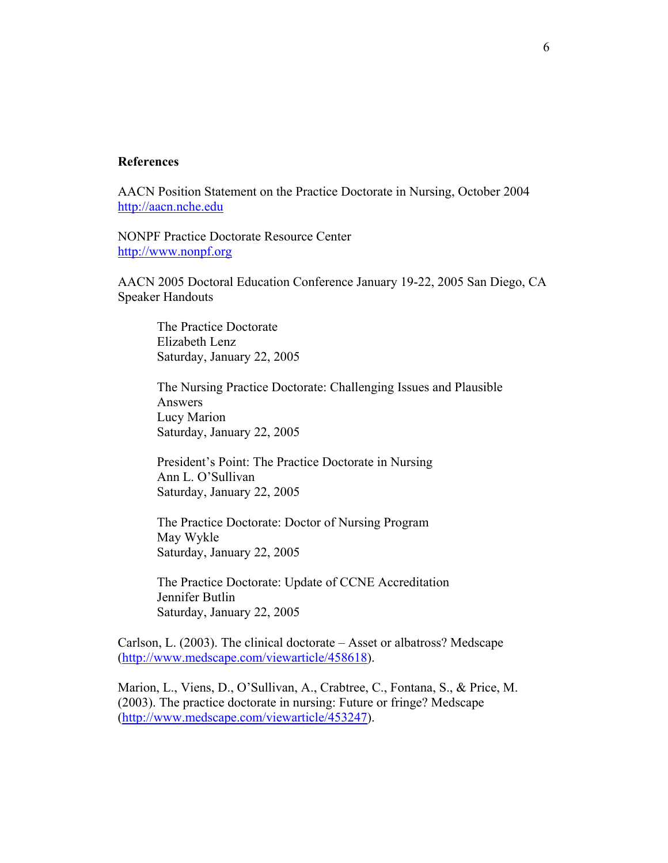#### **References**

AACN Position Statement on the Practice Doctorate in Nursing, October 2004 http://aacn.nche.edu

NONPF Practice Doctorate Resource Center http://www.nonpf.org

AACN 2005 Doctoral Education Conference January 19-22, 2005 San Diego, CA Speaker Handouts

 The Practice Doctorate Elizabeth Lenz Saturday, January 22, 2005

The Nursing Practice Doctorate: Challenging Issues and Plausible Answers Lucy Marion Saturday, January 22, 2005

President's Point: The Practice Doctorate in Nursing Ann L. O'Sullivan Saturday, January 22, 2005

The Practice Doctorate: Doctor of Nursing Program May Wykle Saturday, January 22, 2005

The Practice Doctorate: Update of CCNE Accreditation Jennifer Butlin Saturday, January 22, 2005

Carlson, L. (2003). The clinical doctorate – Asset or albatross? Medscape (http://www.medscape.com/viewarticle/458618).

Marion, L., Viens, D., O'Sullivan, A., Crabtree, C., Fontana, S., & Price, M. (2003). The practice doctorate in nursing: Future or fringe? Medscape (http://www.medscape.com/viewarticle/453247).